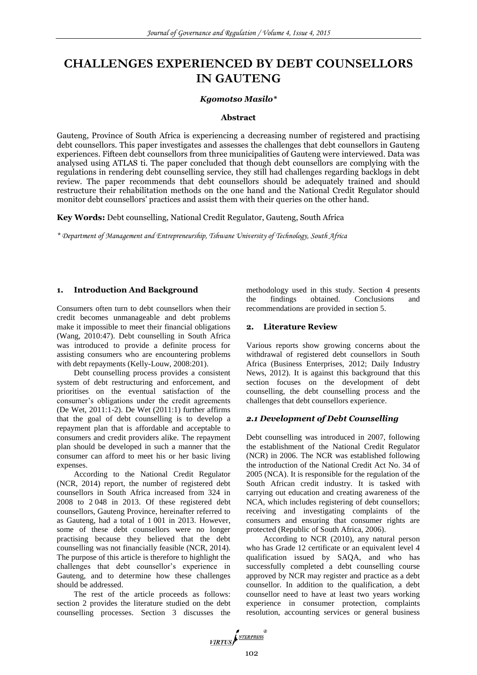# **CHALLENGES EXPERIENCED BY DEBT COUNSELLORS IN GAUTENG**

## *Kgomotso Masilo\**

## **Abstract**

Gauteng, Province of South Africa is experiencing a decreasing number of registered and practising debt counsellors. This paper investigates and assesses the challenges that debt counsellors in Gauteng experiences. Fifteen debt counsellors from three municipalities of Gauteng were interviewed. Data was analysed using ATLAS ti. The paper concluded that though debt counsellors are complying with the regulations in rendering debt counselling service, they still had challenges regarding backlogs in debt review. The paper recommends that debt counsellors should be adequately trained and should restructure their rehabilitation methods on the one hand and the National Credit Regulator should monitor debt counsellors' practices and assist them with their queries on the other hand.

**Key Words:** Debt counselling, National Credit Regulator, Gauteng, South Africa

*\* Department of Management and Entrepreneurship, Tshwane University of Technology, South Africa*

## **1. Introduction And Background**

Consumers often turn to debt counsellors when their credit becomes unmanageable and debt problems make it impossible to meet their financial obligations (Wang, 2010:47). Debt counselling in South Africa was introduced to provide a definite process for assisting consumers who are encountering problems with debt repayments (Kelly-Louw, 2008:201).

Debt counselling process provides a consistent system of debt restructuring and enforcement, and prioritises on the eventual satisfaction of the consumer's obligations under the credit agreements (De Wet, 2011:1-2). De Wet (2011:1) further affirms that the goal of debt counselling is to develop a repayment plan that is affordable and acceptable to consumers and credit providers alike. The repayment plan should be developed in such a manner that the consumer can afford to meet his or her basic living expenses.

According to the National Credit Regulator (NCR, 2014) report, the number of registered debt counsellors in South Africa increased from 324 in 2008 to 2 048 in 2013. Of these registered debt counsellors, Gauteng Province, hereinafter referred to as Gauteng, had a total of 1 001 in 2013. However, some of these debt counsellors were no longer practising because they believed that the debt counselling was not financially feasible (NCR, 2014). The purpose of this article is therefore to highlight the challenges that debt counsellor's experience in Gauteng, and to determine how these challenges should be addressed.

The rest of the article proceeds as follows: section 2 provides the literature studied on the debt counselling processes. Section 3 discusses the

methodology used in this study. Section 4 presents the findings obtained. Conclusions and recommendations are provided in section 5.

# **2. Literature Review**

Various reports show growing concerns about the withdrawal of registered debt counsellors in South Africa (Business Enterprises, 2012; Daily Industry News, 2012). It is against this background that this section focuses on the development of debt counselling, the debt counselling process and the challenges that debt counsellors experience.

# *2.1 Development of Debt Counselling*

Debt counselling was introduced in 2007, following the establishment of the National Credit Regulator (NCR) in 2006. The NCR was established following the introduction of the National Credit Act No. 34 of 2005 (NCA). It is responsible for the regulation of the South African credit industry. It is tasked with carrying out education and creating awareness of the NCA, which includes registering of debt counsellors; receiving and investigating complaints of the consumers and ensuring that consumer rights are protected (Republic of South Africa, 2006).

According to NCR (2010), any natural person who has Grade 12 certificate or an equivalent level 4 qualification issued by SAQA, and who has successfully completed a debt counselling course approved by NCR may register and practice as a debt counsellor. In addition to the qualification, a debt counsellor need to have at least two years working experience in consumer protection, complaints resolution, accounting services or general business

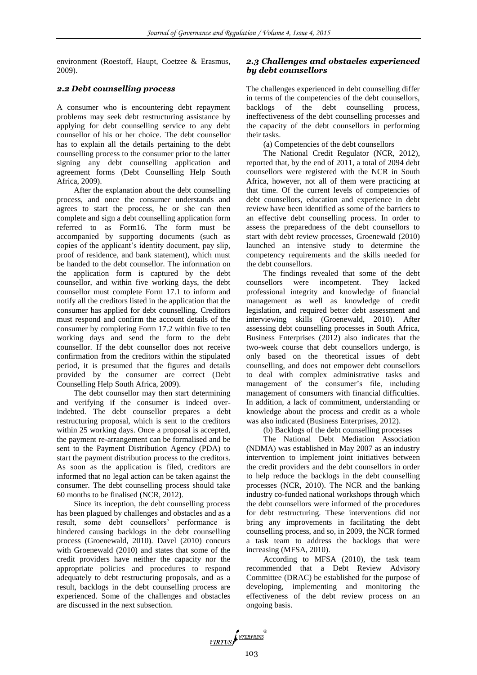environment (Roestoff, Haupt, Coetzee & Erasmus, 2009).

# *2.2 Debt counselling process*

A consumer who is encountering debt repayment problems may seek debt restructuring assistance by applying for debt counselling service to any debt counsellor of his or her choice. The debt counsellor has to explain all the details pertaining to the debt counselling process to the consumer prior to the latter signing any debt counselling application and agreement forms (Debt Counselling Help South Africa, 2009).

After the explanation about the debt counselling process, and once the consumer understands and agrees to start the process, he or she can then complete and sign a debt counselling application form referred to as Form16. The form must be accompanied by supporting documents (such as copies of the applicant's identity document, pay slip, proof of residence, and bank statement), which must be handed to the debt counsellor. The information on the application form is captured by the debt counsellor, and within five working days, the debt counsellor must complete Form 17.1 to inform and notify all the creditors listed in the application that the consumer has applied for debt counselling. Creditors must respond and confirm the account details of the consumer by completing Form 17.2 within five to ten working days and send the form to the debt counsellor. If the debt counsellor does not receive confirmation from the creditors within the stipulated period, it is presumed that the figures and details provided by the consumer are correct (Debt Counselling Help South Africa, 2009).

The debt counsellor may then start determining and verifying if the consumer is indeed overindebted. The debt counsellor prepares a debt restructuring proposal, which is sent to the creditors within 25 working days. Once a proposal is accepted, the payment re-arrangement can be formalised and be sent to the Payment Distribution Agency (PDA) to start the payment distribution process to the creditors. As soon as the application is filed, creditors are informed that no legal action can be taken against the consumer. The debt counselling process should take 60 months to be finalised (NCR, 2012).

Since its inception, the debt counselling process has been plagued by challenges and obstacles and as a result, some debt counsellors' performance is hindered causing backlogs in the debt counselling process (Groenewald, 2010). Davel (2010) concurs with Groenewald (2010) and states that some of the credit providers have neither the capacity nor the appropriate policies and procedures to respond adequately to debt restructuring proposals, and as a result, backlogs in the debt counselling process are experienced. Some of the challenges and obstacles are discussed in the next subsection.

# *2.3 Challenges and obstacles experienced by debt counsellors*

The challenges experienced in debt counselling differ in terms of the competencies of the debt counsellors, backlogs of the debt counselling process, ineffectiveness of the debt counselling processes and the capacity of the debt counsellors in performing their tasks.

(a) Competencies of the debt counsellors

The National Credit Regulator (NCR, 2012), reported that, by the end of 2011, a total of 2094 debt counsellors were registered with the NCR in South Africa, however, not all of them were practicing at that time. Of the current levels of competencies of debt counsellors, education and experience in debt review have been identified as some of the barriers to an effective debt counselling process. In order to assess the preparedness of the debt counsellors to start with debt review processes, Groenewald (2010) launched an intensive study to determine the competency requirements and the skills needed for the debt counsellors.

The findings revealed that some of the debt counsellors were incompetent. They lacked professional integrity and knowledge of financial management as well as knowledge of credit legislation, and required better debt assessment and interviewing skills (Groenewald, 2010). After assessing debt counselling processes in South Africa, Business Enterprises (2012) also indicates that the two-week course that debt counsellors undergo, is only based on the theoretical issues of debt counselling, and does not empower debt counsellors to deal with complex administrative tasks and management of the consumer's file, including management of consumers with financial difficulties. In addition, a lack of commitment, understanding or knowledge about the process and credit as a whole was also indicated (Business Enterprises, 2012).

(b) Backlogs of the debt counselling processes

The National Debt Mediation Association (NDMA) was established in May 2007 as an industry intervention to implement joint initiatives between the credit providers and the debt counsellors in order to help reduce the backlogs in the debt counselling processes (NCR, 2010). The NCR and the banking industry co-funded national workshops through which the debt counsellors were informed of the procedures for debt restructuring. These interventions did not bring any improvements in facilitating the debt counselling process, and so, in 2009, the NCR formed a task team to address the backlogs that were increasing (MFSA, 2010).

According to MFSA (2010), the task team recommended that a Debt Review Advisory Committee (DRAC) be established for the purpose of developing, implementing and monitoring the effectiveness of the debt review process on an ongoing basis.

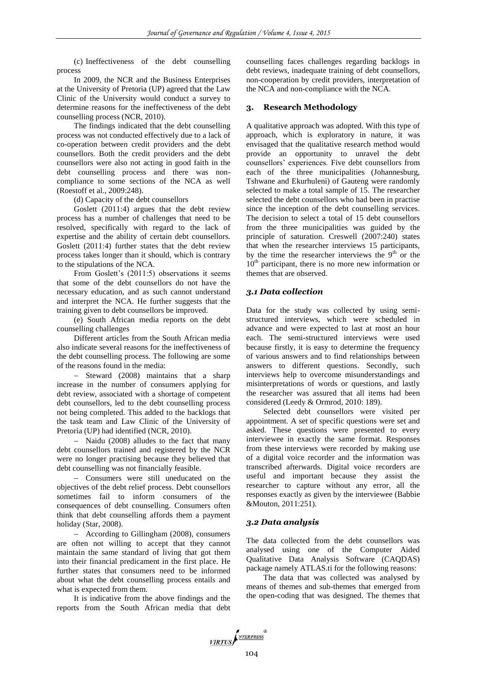(c) Ineffectiveness of the debt counselling process

In 2009, the NCR and the Business Enterprises at the University of Pretoria (UP) agreed that the Law Clinic of the University would conduct a survey to determine reasons for the ineffectiveness of the debt counselling process (NCR, 2010).

The findings indicated that the debt counselling process was not conducted effectively due to a lack of co-operation between credit providers and the debt counsellors. Both the credit providers and the debt counsellors were also not acting in good faith in the debt counselling process and there was noncompliance to some sections of the NCA as well (Roestoff et al., 2009:248).

(d) Capacity of the debt counsellors

Goslett (2011:4) argues that the debt review process has a number of challenges that need to be resolved, specifically with regard to the lack of expertise and the ability of certain debt counsellors. Goslett (2011:4) further states that the debt review process takes longer than it should, which is contrary to the stipulations of the NCA.

From Goslett's (2011:5) observations it seems that some of the debt counsellors do not have the necessary education, and as such cannot understand and interpret the NCA. He further suggests that the training given to debt counsellors be improved.

(e) South African media reports on the debt counselling challenges

Different articles from the South African media also indicate several reasons for the ineffectiveness of the debt counselling process. The following are some of the reasons found in the media:

 $-$  Steward (2008) maintains that a sharp increase in the number of consumers applying for debt review, associated with a shortage of competent debt counsellors, led to the debt counselling process not being completed. This added to the backlogs that the task team and Law Clinic of the University of Pretoria (UP) had identified (NCR, 2010).

- Naidu (2008) alludes to the fact that many debt counsellors trained and registered by the NCR were no longer practising because they believed that debt counselling was not financially feasible.

- Consumers were still uneducated on the objectives of the debt relief process. Debt counsellors sometimes fail to inform consumers of the consequences of debt counselling. Consumers often think that debt counselling affords them a payment holiday (Star, 2008).

 According to Gillingham (2008), consumers are often not willing to accept that they cannot maintain the same standard of living that got them into their financial predicament in the first place. He further states that consumers need to be informed about what the debt counselling process entails and what is expected from them.

It is indicative from the above findings and the reports from the South African media that debt counselling faces challenges regarding backlogs in debt reviews, inadequate training of debt counsellors, non-cooperation by credit providers, interpretation of the NCA and non-compliance with the NCA.

#### **3. Research Methodology**

A qualitative approach was adopted. With this type of approach, which is exploratory in nature, it was envisaged that the qualitative research method would provide an opportunity to unravel the debt counsellors' experiences. Five debt counsellors from each of the three municipalities (Johannesburg, Tshwane and Ekurhuleni) of Gauteng were randomly selected to make a total sample of 15. The researcher selected the debt counsellors who had been in practise since the inception of the debt counselling services. The decision to select a total of 15 debt counsellors from the three municipalities was guided by the principle of saturation. Creswell (2007:240) states that when the researcher interviews 15 participants, by the time the researcher interviews the  $9<sup>th</sup>$  or the  $10<sup>th</sup>$  participant, there is no more new information or themes that are observed.

#### *3.1 Data collection*

Data for the study was collected by using semistructured interviews, which were scheduled in advance and were expected to last at most an hour each. The semi-structured interviews were used because firstly, it is easy to determine the frequency of various answers and to find relationships between answers to different questions. Secondly, such interviews help to overcome misunderstandings and misinterpretations of words or questions, and lastly the researcher was assured that all items had been considered (Leedy & Ormrod, 2010: 189).

Selected debt counsellors were visited per appointment. A set of specific questions were set and asked. These questions were presented to every interviewee in exactly the same format. Responses from these interviews were recorded by making use of a digital voice recorder and the information was transcribed afterwards. Digital voice recorders are useful and important because they assist the researcher to capture without any error, all the responses exactly as given by the interviewee (Babbie &Mouton, 2011:251).

## *3.2 Data analysis*

The data collected from the debt counsellors was analysed using one of the Computer Aided Qualitative Data Analysis Software (CAQDAS) package namely ATLAS.ti for the following reasons:

The data that was collected was analysed by means of themes and sub-themes that emerged from the open-coding that was designed. The themes that

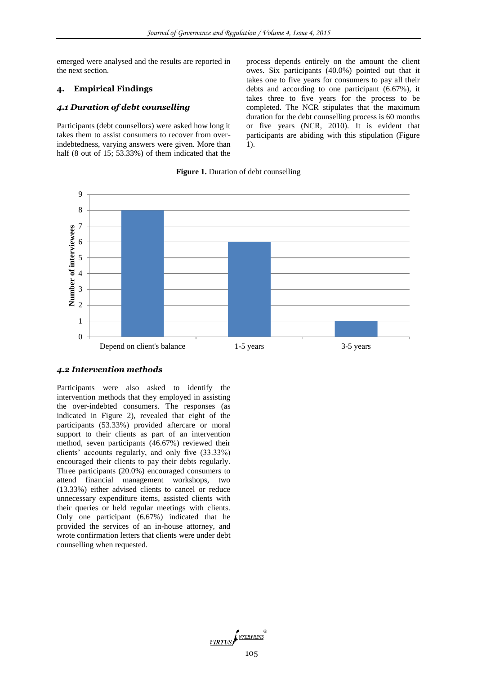emerged were analysed and the results are reported in the next section.

## **4. Empirical Findings**

#### *4.1 Duration of debt counselling*

Participants (debt counsellors) were asked how long it takes them to assist consumers to recover from overindebtedness, varying answers were given. More than half (8 out of 15; 53.33%) of them indicated that the

process depends entirely on the amount the client owes. Six participants (40.0%) pointed out that it takes one to five years for consumers to pay all their debts and according to one participant (6.67%), it takes three to five years for the process to be completed. The NCR stipulates that the maximum duration for the debt counselling process is 60 months or five years (NCR, 2010). It is evident that participants are abiding with this stipulation (Figure 1).

#### **Figure 1.** Duration of debt counselling



# *4.2 Intervention methods*

Participants were also asked to identify the intervention methods that they employed in assisting the over-indebted consumers. The responses (as indicated in Figure 2), revealed that eight of the participants (53.33%) provided aftercare or moral support to their clients as part of an intervention method, seven participants (46.67%) reviewed their clients' accounts regularly, and only five (33.33%) encouraged their clients to pay their debts regularly. Three participants (20.0%) encouraged consumers to attend financial management workshops, two (13.33%) either advised clients to cancel or reduce unnecessary expenditure items, assisted clients with their queries or held regular meetings with clients. Only one participant (6.67%) indicated that he provided the services of an in-house attorney, and wrote confirmation letters that clients were under debt counselling when requested.

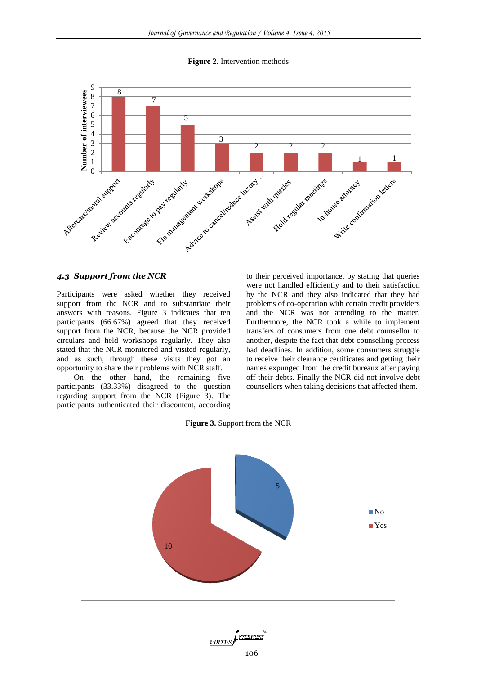**Figure 2.** Intervention methods



# *4.3 Support from the NCR*

Participants were asked whether they received support from the NCR and to substantiate their answers with reasons. Figure 3 indicates that ten participants (66.67%) agreed that they received support from the NCR, because the NCR provided circulars and held workshops regularly. They also stated that the NCR monitored and visited regularly, and as such, through these visits they got an opportunity to share their problems with NCR staff.

On the other hand, the remaining five participants (33.33%) disagreed to the question regarding support from the NCR (Figure 3). The participants authenticated their discontent, according

to their perceived importance, by stating that queries were not handled efficiently and to their satisfaction by the NCR and they also indicated that they had problems of co-operation with certain credit providers and the NCR was not attending to the matter. Furthermore, the NCR took a while to implement transfers of consumers from one debt counsellor to another, despite the fact that debt counselling process had deadlines. In addition, some consumers struggle to receive their clearance certificates and getting their names expunged from the credit bureaux after paying off their debts. Finally the NCR did not involve debt counsellors when taking decisions that affected them.

**Figure 3.** Support from the NCR



VIRTUS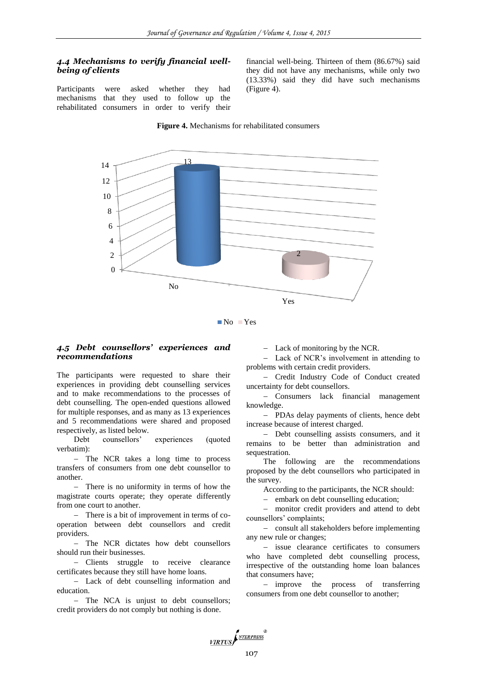# *4.4 Mechanisms to verify financial wellbeing of clients*

Participants were asked whether they had mechanisms that they used to follow up the rehabilitated consumers in order to verify their

financial well-being. Thirteen of them (86.67%) said they did not have any mechanisms, while only two (13.33%) said they did have such mechanisms (Figure 4).

#### **Figure 4.** Mechanisms for rehabilitated consumers



No Yes

## *4.5 Debt counsellors' experiences and recommendations*

The participants were requested to share their experiences in providing debt counselling services and to make recommendations to the processes of debt counselling. The open-ended questions allowed for multiple responses, and as many as 13 experiences and 5 recommendations were shared and proposed respectively, as listed below.

Debt counsellors' experiences (quoted verbatim):

- The NCR takes a long time to process transfers of consumers from one debt counsellor to another.

- There is no uniformity in terms of how the magistrate courts operate; they operate differently from one court to another.

 There is a bit of improvement in terms of cooperation between debt counsellors and credit providers.

 The NCR dictates how debt counsellors should run their businesses.

- Clients struggle to receive clearance certificates because they still have home loans.

 Lack of debt counselling information and education.

- The NCA is unjust to debt counsellors; credit providers do not comply but nothing is done.

Lack of monitoring by the NCR.

 Lack of NCR's involvement in attending to problems with certain credit providers.

- Credit Industry Code of Conduct created uncertainty for debt counsellors.

 Consumers lack financial management knowledge.

- PDAs delay payments of clients, hence debt increase because of interest charged.

- Debt counselling assists consumers, and it remains to be better than administration and sequestration.

The following are the recommendations proposed by the debt counsellors who participated in the survey.

According to the participants, the NCR should:

- embark on debt counselling education;

 monitor credit providers and attend to debt counsellors' complaints;

- consult all stakeholders before implementing any new rule or changes;

- issue clearance certificates to consumers who have completed debt counselling process, irrespective of the outstanding home loan balances that consumers have;

- improve the process of transferring consumers from one debt counsellor to another;

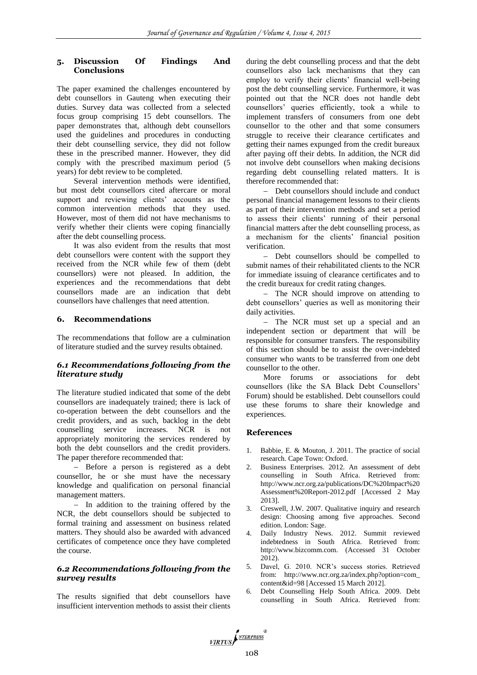# **5. Discussion Of Findings And Conclusions**

The paper examined the challenges encountered by debt counsellors in Gauteng when executing their duties. Survey data was collected from a selected focus group comprising 15 debt counsellors. The paper demonstrates that, although debt counsellors used the guidelines and procedures in conducting their debt counselling service, they did not follow these in the prescribed manner. However, they did comply with the prescribed maximum period (5 years) for debt review to be completed.

Several intervention methods were identified, but most debt counsellors cited aftercare or moral support and reviewing clients' accounts as the common intervention methods that they used. However, most of them did not have mechanisms to verify whether their clients were coping financially after the debt counselling process.

It was also evident from the results that most debt counsellors were content with the support they received from the NCR while few of them (debt counsellors) were not pleased. In addition, the experiences and the recommendations that debt counsellors made are an indication that debt counsellors have challenges that need attention.

## **6. Recommendations**

The recommendations that follow are a culmination of literature studied and the survey results obtained.

# *6.1 Recommendations following from the literature study*

The literature studied indicated that some of the debt counsellors are inadequately trained; there is lack of co-operation between the debt counsellors and the credit providers, and as such, backlog in the debt counselling service increases. NCR is not appropriately monitoring the services rendered by both the debt counsellors and the credit providers. The paper therefore recommended that:

 Before a person is registered as a debt counsellor, he or she must have the necessary knowledge and qualification on personal financial management matters.

 $-$  In addition to the training offered by the NCR, the debt counsellors should be subjected to formal training and assessment on business related matters. They should also be awarded with advanced certificates of competence once they have completed the course.

# *6.2 Recommendations following from the survey results*

The results signified that debt counsellors have insufficient intervention methods to assist their clients during the debt counselling process and that the debt counsellors also lack mechanisms that they can employ to verify their clients' financial well-being post the debt counselling service. Furthermore, it was pointed out that the NCR does not handle debt counsellors' queries efficiently, took a while to implement transfers of consumers from one debt counsellor to the other and that some consumers struggle to receive their clearance certificates and getting their names expunged from the credit bureaux after paying off their debts. In addition, the NCR did not involve debt counsellors when making decisions regarding debt counselling related matters. It is therefore recommended that:

- Debt counsellors should include and conduct personal financial management lessons to their clients as part of their intervention methods and set a period to assess their clients' running of their personal financial matters after the debt counselling process, as a mechanism for the clients' financial position verification.

- Debt counsellors should be compelled to submit names of their rehabilitated clients to the NCR for immediate issuing of clearance certificates and to the credit bureaux for credit rating changes.

- The NCR should improve on attending to debt counsellors' queries as well as monitoring their daily activities.

- The NCR must set up a special and an independent section or department that will be responsible for consumer transfers. The responsibility of this section should be to assist the over-indebted consumer who wants to be transferred from one debt counsellor to the other.

More forums or associations for debt counsellors (like the SA Black Debt Counsellors' Forum) should be established. Debt counsellors could use these forums to share their knowledge and experiences.

## **References**

- 1. Babbie, E. & Mouton, J. 2011. The practice of social research. Cape Town: Oxford.
- 2. Business Enterprises. 2012. An assessment of debt counselling in South Africa. Retrieved from: [http://www.ncr.org.za/publications/DC%20Impact%20](http://www.ncr.org.za/publications/DC%20Impact%20Assessment%20Report-2012.pdf) [Assessment%20Report-2012.pdf](http://www.ncr.org.za/publications/DC%20Impact%20Assessment%20Report-2012.pdf) [Accessed 2 May 2013].
- 3. Creswell, J.W. 2007. Qualitative inquiry and research design: Choosing among five approaches. Second edition. London: Sage.
- 4. Daily Industry News. 2012. Summit reviewed indebtedness in South Africa. Retrieved from: [http://www.bizcomm.com.](http://www.bizcomm.com/) (Accessed 31 October 2012).
- 5. Davel, G. 2010. NCR's success stories. Retrieved from: http://www.ncr.org.za/index.php?option=com\_ content&id=98 [Accessed 15 March 2012].
- 6. Debt Counselling Help South Africa. 2009. Debt counselling in South Africa. Retrieved from:

VIRTUS